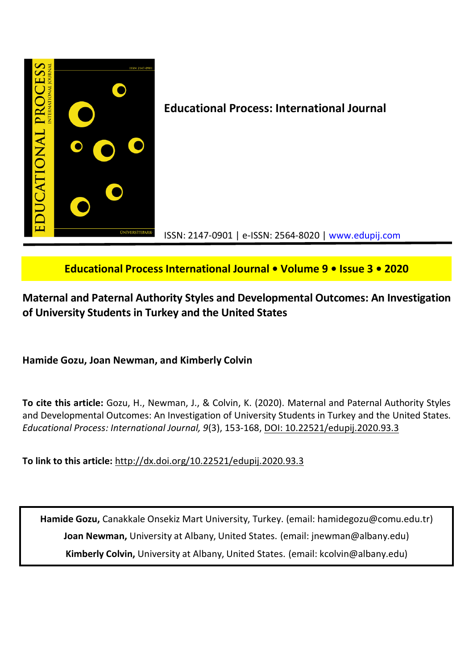

# **Educational Process International Journal • Volume 9 • Issue 3 • 2020**

# **Maternal and Paternal Authority Styles and Developmental Outcomes: An Investigation of University Students in Turkey and the United States**

**Hamide Gozu, Joan Newman, and Kimberly Colvin**

**To cite this article:** Gozu, H., Newman, J., & Colvin, K. (2020). Maternal and Paternal Authority Styles and Developmental Outcomes: An Investigation of University Students in Turkey and the United States. *Educational Process: International Journal, 9*(3), 153-168, DOI: 10.22521/edupij.2020.93.3

**To link to this article:** http://dx.doi.org/10.22521/edupij.2020.93.3

**Hamide Gozu,** Canakkale Onsekiz Mart University, Turkey. (email: hamidegozu@comu.edu.tr) **Joan Newman,** University at Albany, United States. (email: jnewman@albany.edu) **Kimberly Colvin,** University at Albany, United States. (email: kcolvin@albany.edu)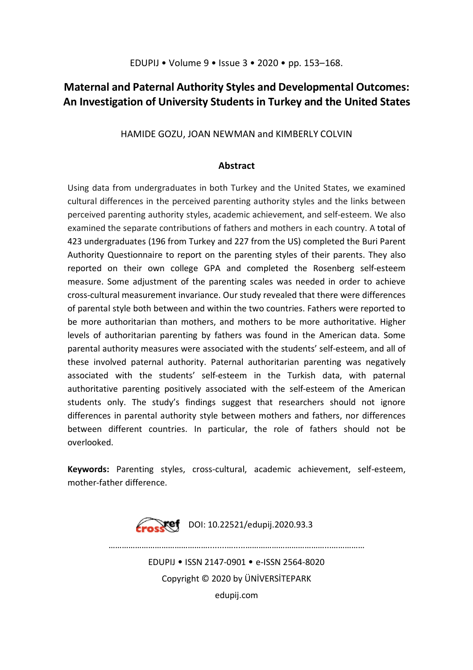# **Maternal and Paternal Authority Styles and Developmental Outcomes: An Investigation of University Students in Turkey and the United States**

HAMIDE GOZU, JOAN NEWMAN and KIMBERLY COLVIN

## **Abstract**

Using data from undergraduates in both Turkey and the United States, we examined cultural differences in the perceived parenting authority styles and the links between perceived parenting authority styles, academic achievement, and self-esteem. We also examined the separate contributions of fathers and mothers in each country. A total of 423 undergraduates (196 from Turkey and 227 from the US) completed the Buri Parent Authority Questionnaire to report on the parenting styles of their parents. They also reported on their own college GPA and completed the Rosenberg self-esteem measure. Some adjustment of the parenting scales was needed in order to achieve cross-cultural measurement invariance. Our study revealed that there were differences of parental style both between and within the two countries. Fathers were reported to be more authoritarian than mothers, and mothers to be more authoritative. Higher levels of authoritarian parenting by fathers was found in the American data. Some parental authority measures were associated with the students' self-esteem, and all of these involved paternal authority. Paternal authoritarian parenting was negatively associated with the students' self-esteem in the Turkish data, with paternal authoritative parenting positively associated with the self-esteem of the American students only. The study's findings suggest that researchers should not ignore differences in parental authority style between mothers and fathers, nor differences between different countries. In particular, the role of fathers should not be overlooked.

**Keywords:** Parenting styles, cross-cultural, academic achievement, self-esteem, mother-father difference.



………………………………………........….....………………………………...…………… EDUPIJ • ISSN 2147-0901 • e-ISSN 2564-8020 Copyright © 2020 by ÜNİVERSİTEPARK edupij.com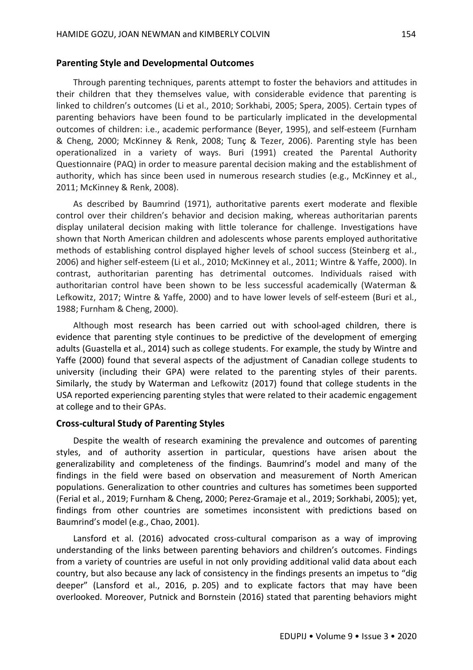#### **Parenting Style and Developmental Outcomes**

Through parenting techniques, parents attempt to foster the behaviors and attitudes in their children that they themselves value, with considerable evidence that parenting is linked to children's outcomes (Li et al., 2010; Sorkhabi, 2005; Spera, 2005). Certain types of parenting behaviors have been found to be particularly implicated in the developmental outcomes of children: i.e., academic performance (Beyer, 1995), and self-esteem (Furnham & Cheng, 2000; McKinney & Renk, 2008; Tunç & Tezer, 2006). Parenting style has been operationalized in a variety of ways. Buri (1991) created the Parental Authority Questionnaire (PAQ) in order to measure parental decision making and the establishment of authority, which has since been used in numerous research studies (e.g., McKinney et al., 2011; McKinney & Renk, 2008).

As described by Baumrind (1971), authoritative parents exert moderate and flexible control over their children's behavior and decision making, whereas authoritarian parents display unilateral decision making with little tolerance for challenge. Investigations have shown that North American children and adolescents whose parents employed authoritative methods of establishing control displayed higher levels of school success (Steinberg et al., 2006) and higher self-esteem (Li et al., 2010; McKinney et al., 2011; Wintre & Yaffe, 2000). In contrast, authoritarian parenting has detrimental outcomes. Individuals raised with authoritarian control have been shown to be less successful academically (Waterman & Lefkowitz, 2017; Wintre & Yaffe, 2000) and to have lower levels of self-esteem (Buri et al., 1988; Furnham & Cheng, 2000).

Although most research has been carried out with school-aged children, there is evidence that parenting style continues to be predictive of the development of emerging adults (Guastella et al., 2014) such as college students. For example, the study by Wintre and Yaffe (2000) found that several aspects of the adjustment of Canadian college students to university (including their GPA) were related to the parenting styles of their parents. Similarly, the study by Waterman and Lefkowitz (2017) found that college students in the USA reported experiencing parenting styles that were related to their academic engagement at college and to their GPAs.

## **Cross-cultural Study of Parenting Styles**

Despite the wealth of research examining the prevalence and outcomes of parenting styles, and of authority assertion in particular, questions have arisen about the generalizability and completeness of the findings. Baumrind's model and many of the findings in the field were based on observation and measurement of North American populations. Generalization to other countries and cultures has sometimes been supported (Ferial et al., 2019; Furnham & Cheng, 2000; Perez-Gramaje et al., 2019; Sorkhabi, 2005); yet, findings from other countries are sometimes inconsistent with predictions based on Baumrind's model (e.g., Chao, 2001).

Lansford et al. (2016) advocated cross-cultural comparison as a way of improving understanding of the links between parenting behaviors and children's outcomes. Findings from a variety of countries are useful in not only providing additional valid data about each country, but also because any lack of consistency in the findings presents an impetus to "dig deeper" (Lansford et al., 2016, p. 205) and to explicate factors that may have been overlooked. Moreover, Putnick and Bornstein (2016) stated that parenting behaviors might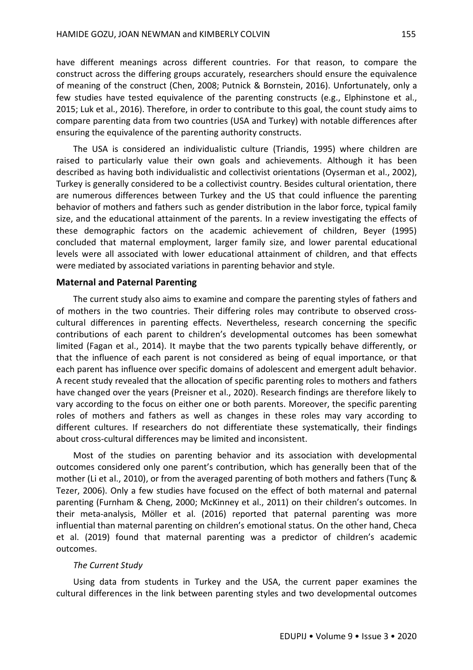have different meanings across different countries. For that reason, to compare the construct across the differing groups accurately, researchers should ensure the equivalence of meaning of the construct (Chen, 2008; Putnick & Bornstein, 2016). Unfortunately, only a few studies have tested equivalence of the parenting constructs (e.g., Elphinstone et al., 2015; Luk et al., 2016). Therefore, in order to contribute to this goal, the count study aims to compare parenting data from two countries (USA and Turkey) with notable differences after ensuring the equivalence of the parenting authority constructs.

The USA is considered an individualistic culture (Triandis, 1995) where children are raised to particularly value their own goals and achievements. Although it has been described as having both individualistic and collectivist orientations (Oyserman et al., 2002), Turkey is generally considered to be a collectivist country. Besides cultural orientation, there are numerous differences between Turkey and the US that could influence the parenting behavior of mothers and fathers such as gender distribution in the labor force, typical family size, and the educational attainment of the parents. In a review investigating the effects of these demographic factors on the academic achievement of children, Beyer (1995) concluded that maternal employment, larger family size, and lower parental educational levels were all associated with lower educational attainment of children, and that effects were mediated by associated variations in parenting behavior and style.

### **Maternal and Paternal Parenting**

The current study also aims to examine and compare the parenting styles of fathers and of mothers in the two countries. Their differing roles may contribute to observed crosscultural differences in parenting effects. Nevertheless, research concerning the specific contributions of each parent to children's developmental outcomes has been somewhat limited (Fagan et al., 2014). It maybe that the two parents typically behave differently, or that the influence of each parent is not considered as being of equal importance, or that each parent has influence over specific domains of adolescent and emergent adult behavior. A recent study revealed that the allocation of specific parenting roles to mothers and fathers have changed over the years (Preisner et al., 2020). Research findings are therefore likely to vary according to the focus on either one or both parents. Moreover, the specific parenting roles of mothers and fathers as well as changes in these roles may vary according to different cultures. If researchers do not differentiate these systematically, their findings about cross-cultural differences may be limited and inconsistent.

Most of the studies on parenting behavior and its association with developmental outcomes considered only one parent's contribution, which has generally been that of the mother (Li et al., 2010), or from the averaged parenting of both mothers and fathers (Tunç & Tezer, 2006). Only a few studies have focused on the effect of both maternal and paternal parenting (Furnham & Cheng, 2000; McKinney et al., 2011) on their children's outcomes. In their meta-analysis, Möller et al. (2016) reported that paternal parenting was more influential than maternal parenting on children's emotional status. On the other hand, Checa et al. (2019) found that maternal parenting was a predictor of children's academic outcomes.

#### *The Current Study*

Using data from students in Turkey and the USA, the current paper examines the cultural differences in the link between parenting styles and two developmental outcomes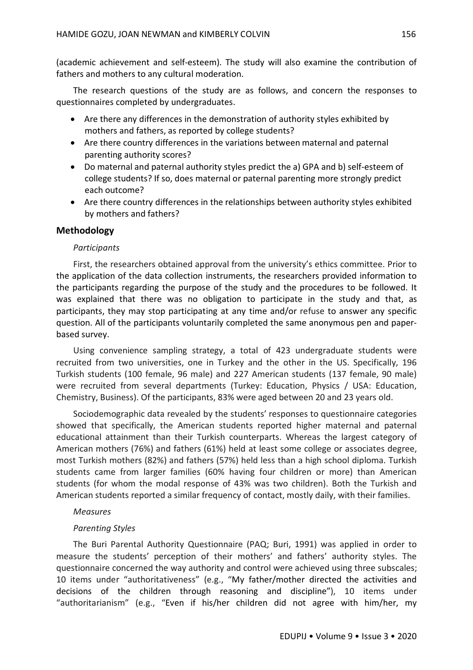(academic achievement and self-esteem). The study will also examine the contribution of fathers and mothers to any cultural moderation.

The research questions of the study are as follows, and concern the responses to questionnaires completed by undergraduates.

- Are there any differences in the demonstration of authority styles exhibited by mothers and fathers, as reported by college students?
- Are there country differences in the variations between maternal and paternal parenting authority scores?
- Do maternal and paternal authority styles predict the a) GPA and b) self-esteem of college students? If so, does maternal or paternal parenting more strongly predict each outcome?
- Are there country differences in the relationships between authority styles exhibited by mothers and fathers?

## **Methodology**

### *Participants*

First, the researchers obtained approval from the university's ethics committee. Prior to the application of the data collection instruments, the researchers provided information to the participants regarding the purpose of the study and the procedures to be followed. It was explained that there was no obligation to participate in the study and that, as participants, they may stop participating at any time and/or refuse to answer any specific question. All of the participants voluntarily completed the same anonymous pen and paperbased survey.

Using convenience sampling strategy, a total of 423 undergraduate students were recruited from two universities, one in Turkey and the other in the US. Specifically, 196 Turkish students (100 female, 96 male) and 227 American students (137 female, 90 male) were recruited from several departments (Turkey: Education, Physics / USA: Education, Chemistry, Business). Of the participants, 83% were aged between 20 and 23 years old.

Sociodemographic data revealed by the students' responses to questionnaire categories showed that specifically, the American students reported higher maternal and paternal educational attainment than their Turkish counterparts. Whereas the largest category of American mothers (76%) and fathers (61%) held at least some college or associates degree, most Turkish mothers (82%) and fathers (57%) held less than a high school diploma. Turkish students came from larger families (60% having four children or more) than American students (for whom the modal response of 43% was two children). Both the Turkish and American students reported a similar frequency of contact, mostly daily, with their families.

### *Measures*

## *Parenting Styles*

The Buri Parental Authority Questionnaire (PAQ; Buri, 1991) was applied in order to measure the students' perception of their mothers' and fathers' authority styles. The questionnaire concerned the way authority and control were achieved using three subscales; 10 items under "authoritativeness" (e.g., "My father/mother directed the activities and decisions of the children through reasoning and discipline"), 10 items under "authoritarianism" (e.g., "Even if his/her children did not agree with him/her, my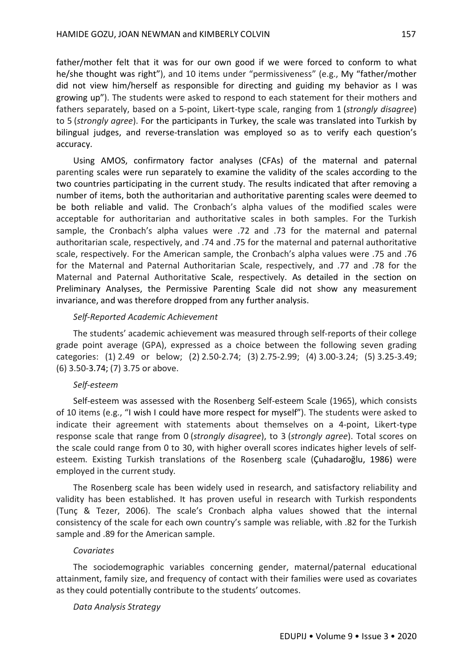father/mother felt that it was for our own good if we were forced to conform to what he/she thought was right"), and 10 items under "permissiveness" (e.g., My "father/mother did not view him/herself as responsible for directing and guiding my behavior as I was growing up"). The students were asked to respond to each statement for their mothers and fathers separately, based on a 5-point, Likert-type scale, ranging from 1 (*strongly disagree*) to 5 (*strongly agree*). For the participants in Turkey, the scale was translated into Turkish by bilingual judges, and reverse-translation was employed so as to verify each question's accuracy.

Using AMOS, confirmatory factor analyses (CFAs) of the maternal and paternal parenting scales were run separately to examine the validity of the scales according to the two countries participating in the current study. The results indicated that after removing a number of items, both the authoritarian and authoritative parenting scales were deemed to be both reliable and valid. The Cronbach's alpha values of the modified scales were acceptable for authoritarian and authoritative scales in both samples. For the Turkish sample, the Cronbach's alpha values were .72 and .73 for the maternal and paternal authoritarian scale, respectively, and .74 and .75 for the maternal and paternal authoritative scale, respectively. For the American sample, the Cronbach's alpha values were .75 and .76 for the Maternal and Paternal Authoritarian Scale, respectively, and .77 and .78 for the Maternal and Paternal Authoritative Scale, respectively. As detailed in the section on Preliminary Analyses, the Permissive Parenting Scale did not show any measurement invariance, and was therefore dropped from any further analysis.

#### *Self-Reported Academic Achievement*

The students' academic achievement was measured through self-reports of their college grade point average (GPA), expressed as a choice between the following seven grading categories: (1) 2.49 or below; (2) 2.50-2.74; (3) 2.75-2.99; (4) 3.00-3.24; (5) 3.25-3.49; (6) 3.50-3.74; (7) 3.75 or above.

#### *Self-esteem*

Self-esteem was assessed with the Rosenberg Self-esteem Scale (1965), which consists of 10 items (e.g., "I wish I could have more respect for myself"). The students were asked to indicate their agreement with statements about themselves on a 4-point, Likert-type response scale that range from 0 (*strongly disagree*), to 3 (*strongly agree*). Total scores on the scale could range from 0 to 30, with higher overall scores indicates higher levels of selfesteem. Existing Turkish translations of the Rosenberg scale (Çuhadaroğlu, 1986) were employed in the current study.

The Rosenberg scale has been widely used in research, and satisfactory reliability and validity has been established. It has proven useful in research with Turkish respondents (Tunç & Tezer, 2006). The scale's Cronbach alpha values showed that the internal consistency of the scale for each own country's sample was reliable, with .82 for the Turkish sample and .89 for the American sample.

#### *Covariates*

The sociodemographic variables concerning gender, maternal/paternal educational attainment, family size, and frequency of contact with their families were used as covariates as they could potentially contribute to the students' outcomes.

#### *Data Analysis Strategy*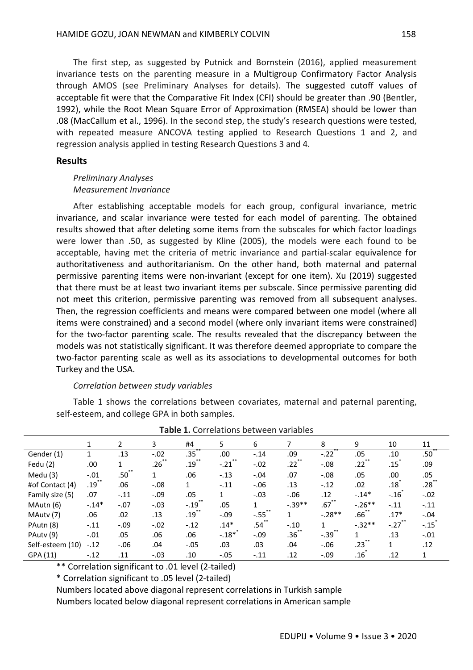The first step, as suggested by Putnick and Bornstein (2016), applied measurement invariance tests on the parenting measure in a Multigroup Confirmatory Factor Analysis through AMOS (see Preliminary Analyses for details). The suggested cutoff values of acceptable fit were that the Comparative Fit Index (CFI) should be greater than .90 (Bentler, 1992), while the Root Mean Square Error of Approximation (RMSEA) should be lower than .08 (MacCallum et al., 1996). In the second step, the study's research questions were tested, with repeated measure ANCOVA testing applied to Research Questions 1 and 2, and regression analysis applied in testing Research Questions 3 and 4.

#### **Results**

## *Preliminary Analyses Measurement Invariance*

After establishing acceptable models for each group, configural invariance, metric invariance, and scalar invariance were tested for each model of parenting. The obtained results showed that after deleting some items from the subscales for which factor loadings were lower than .50, as suggested by Kline (2005), the models were each found to be acceptable, having met the criteria of metric invariance and partial-scalar equivalence for authoritativeness and authoritarianism. On the other hand, both maternal and paternal permissive parenting items were non-invariant (except for one item). Xu (2019) suggested that there must be at least two invariant items per subscale. Since permissive parenting did not meet this criterion, permissive parenting was removed from all subsequent analyses. Then, the regression coefficients and means were compared between one model (where all items were constrained) and a second model (where only invariant items were constrained) for the two-factor parenting scale. The results revealed that the discrepancy between the models was not statistically significant. It was therefore deemed appropriate to compare the two-factor parenting scale as well as its associations to developmental outcomes for both Turkey and the USA.

#### *Correlation between study variables*

Table 1 shows the correlations between covariates, maternal and paternal parenting, self-esteem, and college GPA in both samples.

|                  |          | $\overline{2}$ | 3                | #4           | 5       | 6      |                  | 8                | 9         | 10                   | 11               |
|------------------|----------|----------------|------------------|--------------|---------|--------|------------------|------------------|-----------|----------------------|------------------|
| Gender (1)       |          | .13            | $-.02$           | .35          | .00     | $-.14$ | .09              | $-.22$           | .05       | .10                  | .50 <sup>°</sup> |
| Fedu (2)         | .00      |                | .26 <sup>2</sup> | .19          | $-.21$  | $-.02$ | .22              | $-.08$           | .22       | .15                  | .09              |
| Medu $(3)$       | $-.01$   | .50            |                  | .06          | $-.13$  | $-.04$ | .07              | $-.08$           | .05       | .00                  | .05              |
| #of Contact (4)  | $.19***$ | .06            | $-0.08$          | $\mathbf{1}$ | $-.11$  | $-.06$ | .13              | $-.12$           | .02       | .18 <sup>°</sup>     | $.28***$         |
| Family size (5)  | .07      | $-.11$         | $-.09$           | .05          | 1       | $-.03$ | $-.06$           | .12              | $-.14*$   | $-.16$               | $-.02$           |
| MAutn (6)        | $-14*$   | $-.07$         | $-.03$           | $-.19$       | .05     |        | $-.39**$         | .67 <sup>°</sup> | $-.26***$ | $-.11$               | $-.11$           |
| MAuty (7)        | .06      | .02            | .13              | $.19***$     | $-.09$  | $-.55$ | 1                | $-.28**$         | .66`      | $.17*$               | $-.04$           |
| PAutn (8)        | $-.11$   | $-.09$         | $-.02$           | $-.12$       | $.14*$  | .54    | $-.10$           | 1                | $-.32**$  | $-.27$ <sup>**</sup> | $-.15$           |
| PAuty (9)        | $-.01$   | .05            | .06              | .06          | $-.18*$ | $-.09$ | .36 <sup>2</sup> | $-.39°$          | 1         | .13                  | $-.01$           |
| Self-esteem (10) | $-.12$   | $-.06$         | .04              | $-.05$       | .03     | .03    | .04              | $-0.06$          | .23       | $\mathbf{1}$         | .12              |
| GPA (11)         | $-.12$   | .11            | $-.03$           | .10          | $-.05$  | $-.11$ | .12              | $-.09$           | .16       | .12                  | 1                |

| Table 1. Correlations between variables |  |
|-----------------------------------------|--|
|                                         |  |

\*\* Correlation significant to .01 level (2-tailed)

\* Correlation significant to .05 level (2-tailed)

Numbers located above diagonal represent correlations in Turkish sample

Numbers located below diagonal represent correlations in American sample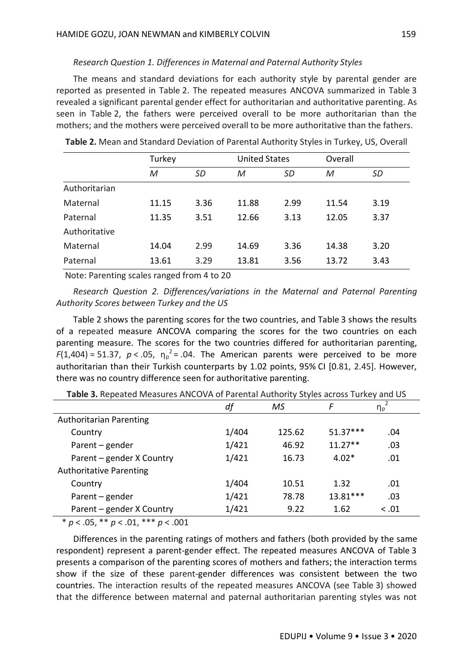### *Research Question 1. Differences in Maternal and Paternal Authority Styles*

The means and standard deviations for each authority style by parental gender are reported as presented in Table 2. The repeated measures ANCOVA summarized in Table 3 revealed a significant parental gender effect for authoritarian and authoritative parenting. As seen in Table 2, the fathers were perceived overall to be more authoritarian than the mothers; and the mothers were perceived overall to be more authoritative than the fathers.

|               | Turkey |           | <b>United States</b> |      | Overall |      |  |
|---------------|--------|-----------|----------------------|------|---------|------|--|
|               | M      | <b>SD</b> | M                    | SD   | M       | SD   |  |
| Authoritarian |        |           |                      |      |         |      |  |
| Maternal      | 11.15  | 3.36      | 11.88                | 2.99 | 11.54   | 3.19 |  |
| Paternal      | 11.35  | 3.51      | 12.66                | 3.13 | 12.05   | 3.37 |  |
| Authoritative |        |           |                      |      |         |      |  |
| Maternal      | 14.04  | 2.99      | 14.69                | 3.36 | 14.38   | 3.20 |  |
| Paternal      | 13.61  | 3.29      | 13.81                | 3.56 | 13.72   | 3.43 |  |

**Table 2.** Mean and Standard Deviation of Parental Authority Styles in Turkey, US, Overall

Note: Parenting scales ranged from 4 to 20

*Research Question 2. Differences/variations in the Maternal and Paternal Parenting Authority Scores between Turkey and the US*

Table 2 shows the parenting scores for the two countries, and Table 3 shows the results of a repeated measure ANCOVA comparing the scores for the two countries on each parenting measure. The scores for the two countries differed for authoritarian parenting,  $F(1,404) = 51.37$ ,  $p < .05$ ,  $\eta_p^2 = .04$ . The American parents were perceived to be more authoritarian than their Turkish counterparts by 1.02 points, 95% CI [0.81, 2.45]. However, there was no country difference seen for authoritative parenting.

| <b>Table 3:</b> http://ditty.integrated.mitted.v.h.u.i. architectural matricity.styles.across.com/cy-anid-05- |       |        |            |          |  |  |  |  |
|---------------------------------------------------------------------------------------------------------------|-------|--------|------------|----------|--|--|--|--|
|                                                                                                               | df    | MS     | F          | $\eta_p$ |  |  |  |  |
| <b>Authoritarian Parenting</b>                                                                                |       |        |            |          |  |  |  |  |
| Country                                                                                                       | 1/404 | 125.62 | $51.37***$ | .04      |  |  |  |  |
| Parent – gender                                                                                               | 1/421 | 46.92  | $11.27**$  | .03      |  |  |  |  |
| Parent – gender X Country                                                                                     | 1/421 | 16.73  | $4.02*$    | .01      |  |  |  |  |
| <b>Authoritative Parenting</b>                                                                                |       |        |            |          |  |  |  |  |
| Country                                                                                                       | 1/404 | 10.51  | 1.32       | .01      |  |  |  |  |
| Parent - gender                                                                                               | 1/421 | 78.78  | 13.81***   | .03      |  |  |  |  |
| Parent - gender X Country                                                                                     | 1/421 | 9.22   | 1.62       | < 0.01   |  |  |  |  |

**Table 3.** Repeated Measures ANCOVA of Parental Authority Styles across Turkey and US

\* *p* < .05, \*\* *p* < .01, \*\*\* *p* < .001

Differences in the parenting ratings of mothers and fathers (both provided by the same respondent) represent a parent-gender effect. The repeated measures ANCOVA of Table 3 presents a comparison of the parenting scores of mothers and fathers; the interaction terms show if the size of these parent-gender differences was consistent between the two countries. The interaction results of the repeated measures ANCOVA (see Table 3) showed that the difference between maternal and paternal authoritarian parenting styles was not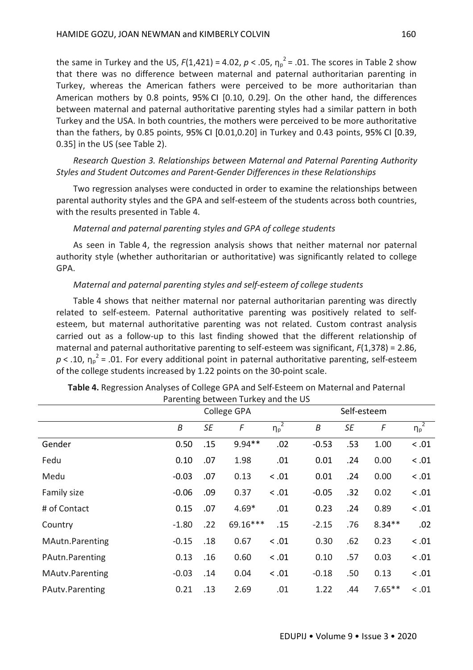the same in Turkey and the US,  $F(1,421) = 4.02$ ,  $p < .05$ ,  $\eta_p^2 = .01$ . The scores in Table 2 show that there was no difference between maternal and paternal authoritarian parenting in Turkey, whereas the American fathers were perceived to be more authoritarian than American mothers by 0.8 points, 95% CI [0.10, 0.29]. On the other hand, the differences between maternal and paternal authoritative parenting styles had a similar pattern in both Turkey and the USA. In both countries, the mothers were perceived to be more authoritative than the fathers, by 0.85 points, 95% CI [0.01,0.20] in Turkey and 0.43 points, 95% CI [0.39, 0.35] in the US (see Table 2).

*Research Question 3. Relationships between Maternal and Paternal Parenting Authority Styles and Student Outcomes and Parent-Gender Differences in these Relationships*

Two regression analyses were conducted in order to examine the relationships between parental authority styles and the GPA and self-esteem of the students across both countries, with the results presented in Table 4.

## *Maternal and paternal parenting styles and GPA of college students*

As seen in Table 4, the regression analysis shows that neither maternal nor paternal authority style (whether authoritarian or authoritative) was significantly related to college GPA.

#### *Maternal and paternal parenting styles and self-esteem of college students*

Table 4 shows that neither maternal nor paternal authoritarian parenting was directly related to self-esteem. Paternal authoritative parenting was positively related to selfesteem, but maternal authoritative parenting was not related. Custom contrast analysis carried out as a follow-up to this last finding showed that the different relationship of maternal and paternal authoritative parenting to self-esteem was significant, *F*(1,378) = 2.86,  $p < .10$ ,  $\eta_p^2$  = .01. For every additional point in paternal authoritative parenting, self-esteem of the college students increased by 1.22 points on the 30-point scale.

|                 |         |           | College GPA |                       |                  | Self-esteem |            |                       |  |
|-----------------|---------|-----------|-------------|-----------------------|------------------|-------------|------------|-----------------------|--|
|                 | B       | <b>SE</b> | F           | $\overline{\eta_p^2}$ | $\boldsymbol{B}$ | <b>SE</b>   | $\sqrt{2}$ | $\overline{\eta_p}^2$ |  |
| Gender          | 0.50    | .15       | $9.94**$    | .02                   | $-0.53$          | .53         | 1.00       | < .01                 |  |
| Fedu            | 0.10    | .07       | 1.98        | .01                   | 0.01             | .24         | 0.00       | < .01                 |  |
| Medu            | $-0.03$ | .07       | 0.13        | < .01                 | 0.01             | .24         | 0.00       | < .01                 |  |
| Family size     | $-0.06$ | .09       | 0.37        | < .01                 | $-0.05$          | .32         | 0.02       | < .01                 |  |
| # of Contact    | 0.15    | .07       | $4.69*$     | .01                   | 0.23             | .24         | 0.89       | < .01                 |  |
| Country         | $-1.80$ | .22       | 69.16***    | .15                   | $-2.15$          | .76         | $8.34**$   | .02                   |  |
| MAutn.Parenting | $-0.15$ | .18       | 0.67        | < .01                 | 0.30             | .62         | 0.23       | < .01                 |  |
| PAutn.Parenting | 0.13    | .16       | 0.60        | < .01                 | 0.10             | .57         | 0.03       | $<.01$                |  |
| MAutv.Parenting | $-0.03$ | .14       | 0.04        | < .01                 | $-0.18$          | .50         | 0.13       | < .01                 |  |
| PAutv.Parenting | 0.21    | .13       | 2.69        | .01                   | 1.22             | .44         | $7.65**$   | < .01                 |  |

**Table 4.** Regression Analyses of College GPA and Self-Esteem on Maternal and Paternal Parenting between Turkey and the US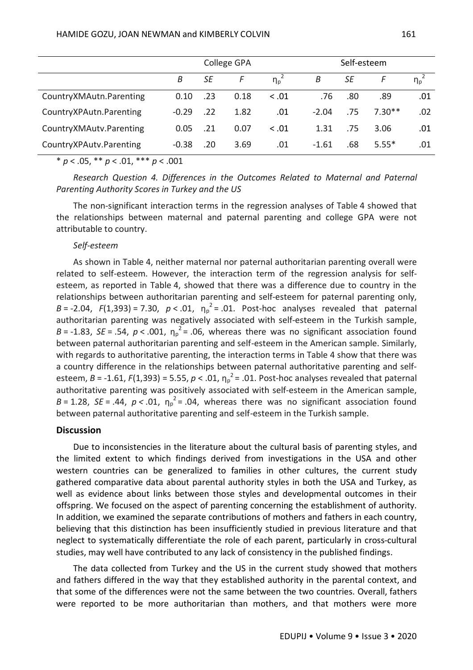|                         | College GPA |     |      |                       |         |     |          |          |
|-------------------------|-------------|-----|------|-----------------------|---------|-----|----------|----------|
|                         | B           | SE  | F    | $\eta_p$ <sup>2</sup> | B       | SE  |          | $\eta_p$ |
| CountryXMAutn.Parenting | 0.10        | .23 | 0.18 | < .01                 | .76     | .80 | .89      | .01      |
| CountryXPAutn.Parenting | $-0.29$     | .22 | 1.82 | .01                   | $-2.04$ | .75 | $7.30**$ | .02      |
| CountryXMAutv.Parenting | 0.05        | .21 | 0.07 | < .01                 | 1.31    | .75 | 3.06     | .01      |
| CountryXPAutv.Parenting | $-0.38$     | .20 | 3.69 | .01                   | $-1.61$ | .68 | $5.55*$  | .01      |

\* *p* < .05, \*\* *p* < .01, \*\*\* *p* < .001

*Research Question 4. Differences in the Outcomes Related to Maternal and Paternal Parenting Authority Scores in Turkey and the US*

The non-significant interaction terms in the regression analyses of Table 4 showed that the relationships between maternal and paternal parenting and college GPA were not attributable to country.

## *Self-esteem*

As shown in Table 4, neither maternal nor paternal authoritarian parenting overall were related to self-esteem. However, the interaction term of the regression analysis for selfesteem, as reported in Table 4, showed that there was a difference due to country in the relationships between authoritarian parenting and self-esteem for paternal parenting only, *B* = -2.04, *F*(1,393) = 7.30,  $p < .01$ ,  $\eta_p^2 = .01$ . Post-hoc analyses revealed that paternal authoritarian parenting was negatively associated with self-esteem in the Turkish sample,  $B = -1.83$ ,  $SE = .54$ ,  $p < .001$ ,  $\eta_p^2 = .06$ , whereas there was no significant association found between paternal authoritarian parenting and self-esteem in the American sample. Similarly, with regards to authoritative parenting, the interaction terms in Table 4 show that there was a country difference in the relationships between paternal authoritative parenting and selfesteem,  $B = -1.61$ ,  $F(1,393) = 5.55$ ,  $p < .01$ ,  $\eta_p^2 = .01$ . Post-hoc analyses revealed that paternal authoritative parenting was positively associated with self-esteem in the American sample,  $B = 1.28$ ,  $SE = .44$ ,  $p < .01$ ,  $\eta_p^2 = .04$ , whereas there was no significant association found between paternal authoritative parenting and self-esteem in the Turkish sample.

## **Discussion**

Due to inconsistencies in the literature about the cultural basis of parenting styles, and the limited extent to which findings derived from investigations in the USA and other western countries can be generalized to families in other cultures, the current study gathered comparative data about parental authority styles in both the USA and Turkey, as well as evidence about links between those styles and developmental outcomes in their offspring. We focused on the aspect of parenting concerning the establishment of authority. In addition, we examined the separate contributions of mothers and fathers in each country, believing that this distinction has been insufficiently studied in previous literature and that neglect to systematically differentiate the role of each parent, particularly in cross-cultural studies, may well have contributed to any lack of consistency in the published findings.

The data collected from Turkey and the US in the current study showed that mothers and fathers differed in the way that they established authority in the parental context, and that some of the differences were not the same between the two countries. Overall, fathers were reported to be more authoritarian than mothers, and that mothers were more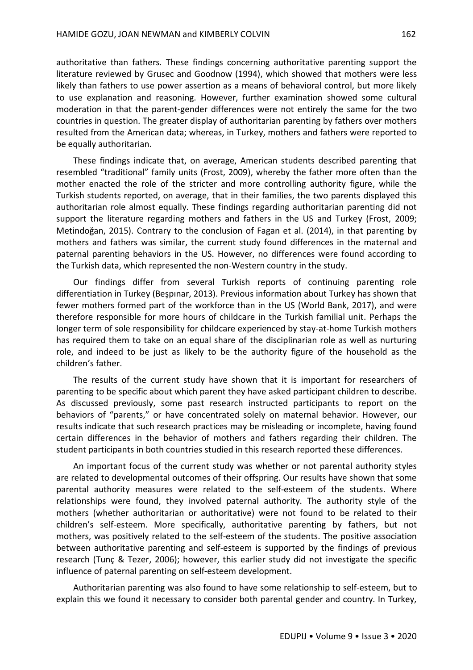authoritative than fathers*.* These findings concerning authoritative parenting support the literature reviewed by Grusec and Goodnow (1994), which showed that mothers were less likely than fathers to use power assertion as a means of behavioral control, but more likely to use explanation and reasoning. However, further examination showed some cultural moderation in that the parent-gender differences were not entirely the same for the two countries in question. The greater display of authoritarian parenting by fathers over mothers resulted from the American data; whereas, in Turkey, mothers and fathers were reported to be equally authoritarian.

These findings indicate that, on average, American students described parenting that resembled "traditional" family units (Frost, 2009), whereby the father more often than the mother enacted the role of the stricter and more controlling authority figure, while the Turkish students reported, on average, that in their families, the two parents displayed this authoritarian role almost equally. These findings regarding authoritarian parenting did not support the literature regarding mothers and fathers in the US and Turkey (Frost, 2009; Metindoğan, 2015). Contrary to the conclusion of Fagan et al. (2014), in that parenting by mothers and fathers was similar, the current study found differences in the maternal and paternal parenting behaviors in the US. However, no differences were found according to the Turkish data, which represented the non-Western country in the study.

Our findings differ from several Turkish reports of continuing parenting role differentiation in Turkey (Beşpınar, 2013). Previous information about Turkey has shown that fewer mothers formed part of the workforce than in the US (World Bank, 2017), and were therefore responsible for more hours of childcare in the Turkish familial unit. Perhaps the longer term of sole responsibility for childcare experienced by stay-at-home Turkish mothers has required them to take on an equal share of the disciplinarian role as well as nurturing role, and indeed to be just as likely to be the authority figure of the household as the children's father.

The results of the current study have shown that it is important for researchers of parenting to be specific about which parent they have asked participant children to describe. As discussed previously, some past research instructed participants to report on the behaviors of "parents," or have concentrated solely on maternal behavior. However, our results indicate that such research practices may be misleading or incomplete, having found certain differences in the behavior of mothers and fathers regarding their children. The student participants in both countries studied in this research reported these differences.

An important focus of the current study was whether or not parental authority styles are related to developmental outcomes of their offspring. Our results have shown that some parental authority measures were related to the self-esteem of the students. Where relationships were found, they involved paternal authority. The authority style of the mothers (whether authoritarian or authoritative) were not found to be related to their children's self-esteem. More specifically, authoritative parenting by fathers, but not mothers, was positively related to the self-esteem of the students. The positive association between authoritative parenting and self-esteem is supported by the findings of previous research (Tunç & Tezer, 2006); however, this earlier study did not investigate the specific influence of paternal parenting on self-esteem development.

Authoritarian parenting was also found to have some relationship to self-esteem, but to explain this we found it necessary to consider both parental gender and country. In Turkey,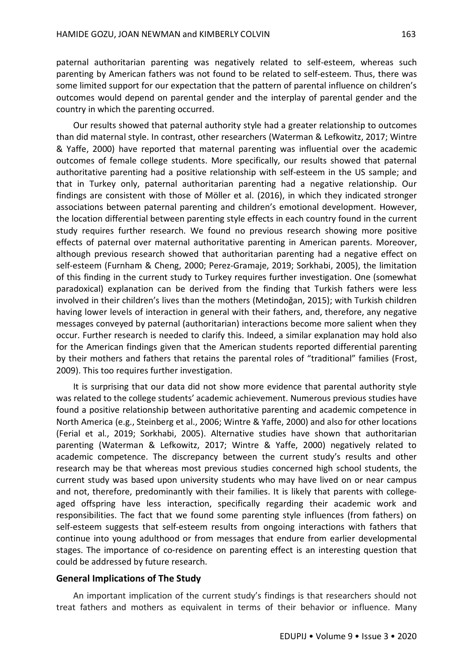paternal authoritarian parenting was negatively related to self-esteem, whereas such parenting by American fathers was not found to be related to self-esteem. Thus, there was some limited support for our expectation that the pattern of parental influence on children's outcomes would depend on parental gender and the interplay of parental gender and the country in which the parenting occurred.

Our results showed that paternal authority style had a greater relationship to outcomes than did maternal style. In contrast, other researchers (Waterman & Lefkowitz, 2017; Wintre & Yaffe, 2000) have reported that maternal parenting was influential over the academic outcomes of female college students. More specifically, our results showed that paternal authoritative parenting had a positive relationship with self-esteem in the US sample; and that in Turkey only, paternal authoritarian parenting had a negative relationship. Our findings are consistent with those of Möller et al. (2016), in which they indicated stronger associations between paternal parenting and children's emotional development. However, the location differential between parenting style effects in each country found in the current study requires further research. We found no previous research showing more positive effects of paternal over maternal authoritative parenting in American parents. Moreover, although previous research showed that authoritarian parenting had a negative effect on self-esteem (Furnham & Cheng, 2000; Perez-Gramaje, 2019; Sorkhabi, 2005), the limitation of this finding in the current study to Turkey requires further investigation. One (somewhat paradoxical) explanation can be derived from the finding that Turkish fathers were less involved in their children's lives than the mothers (Metindoğan, 2015); with Turkish children having lower levels of interaction in general with their fathers, and, therefore, any negative messages conveyed by paternal (authoritarian) interactions become more salient when they occur. Further research is needed to clarify this. Indeed, a similar explanation may hold also for the American findings given that the American students reported differential parenting by their mothers and fathers that retains the parental roles of "traditional" families (Frost, 2009). This too requires further investigation.

It is surprising that our data did not show more evidence that parental authority style was related to the college students' academic achievement. Numerous previous studies have found a positive relationship between authoritative parenting and academic competence in North America (e.g., Steinberg et al., 2006; Wintre & Yaffe, 2000) and also for other locations (Ferial et al., 2019; Sorkhabi, 2005). Alternative studies have shown that authoritarian parenting (Waterman & Lefkowitz, 2017; Wintre & Yaffe, 2000) negatively related to academic competence. The discrepancy between the current study's results and other research may be that whereas most previous studies concerned high school students, the current study was based upon university students who may have lived on or near campus and not, therefore, predominantly with their families. It is likely that parents with collegeaged offspring have less interaction, specifically regarding their academic work and responsibilities. The fact that we found some parenting style influences (from fathers) on self-esteem suggests that self-esteem results from ongoing interactions with fathers that continue into young adulthood or from messages that endure from earlier developmental stages. The importance of co-residence on parenting effect is an interesting question that could be addressed by future research.

### **General Implications of The Study**

An important implication of the current study's findings is that researchers should not treat fathers and mothers as equivalent in terms of their behavior or influence. Many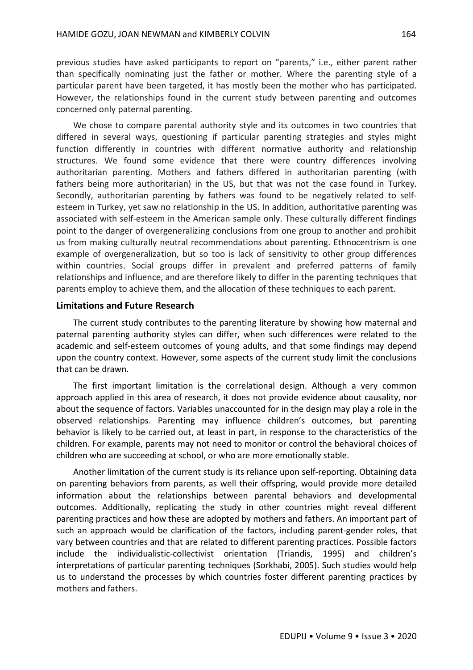previous studies have asked participants to report on "parents," i.e., either parent rather than specifically nominating just the father or mother. Where the parenting style of a particular parent have been targeted, it has mostly been the mother who has participated. However, the relationships found in the current study between parenting and outcomes concerned only paternal parenting.

We chose to compare parental authority style and its outcomes in two countries that differed in several ways, questioning if particular parenting strategies and styles might function differently in countries with different normative authority and relationship structures. We found some evidence that there were country differences involving authoritarian parenting. Mothers and fathers differed in authoritarian parenting (with fathers being more authoritarian) in the US, but that was not the case found in Turkey. Secondly, authoritarian parenting by fathers was found to be negatively related to selfesteem in Turkey, yet saw no relationship in the US. In addition, authoritative parenting was associated with self-esteem in the American sample only. These culturally different findings point to the danger of overgeneralizing conclusions from one group to another and prohibit us from making culturally neutral recommendations about parenting. Ethnocentrism is one example of overgeneralization, but so too is lack of sensitivity to other group differences within countries. Social groups differ in prevalent and preferred patterns of family relationships and influence, and are therefore likely to differ in the parenting techniques that parents employ to achieve them, and the allocation of these techniques to each parent.

#### **Limitations and Future Research**

The current study contributes to the parenting literature by showing how maternal and paternal parenting authority styles can differ, when such differences were related to the academic and self-esteem outcomes of young adults, and that some findings may depend upon the country context. However, some aspects of the current study limit the conclusions that can be drawn.

The first important limitation is the correlational design. Although a very common approach applied in this area of research, it does not provide evidence about causality, nor about the sequence of factors. Variables unaccounted for in the design may play a role in the observed relationships. Parenting may influence children's outcomes, but parenting behavior is likely to be carried out, at least in part, in response to the characteristics of the children. For example, parents may not need to monitor or control the behavioral choices of children who are succeeding at school, or who are more emotionally stable.

Another limitation of the current study is its reliance upon self-reporting. Obtaining data on parenting behaviors from parents, as well their offspring, would provide more detailed information about the relationships between parental behaviors and developmental outcomes. Additionally, replicating the study in other countries might reveal different parenting practices and how these are adopted by mothers and fathers. An important part of such an approach would be clarification of the factors, including parent-gender roles, that vary between countries and that are related to different parenting practices. Possible factors include the individualistic-collectivist orientation (Triandis, 1995) and children's interpretations of particular parenting techniques (Sorkhabi, 2005). Such studies would help us to understand the processes by which countries foster different parenting practices by mothers and fathers.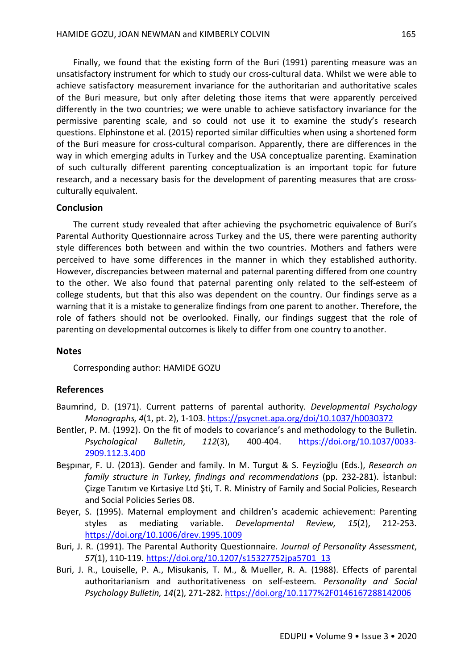Finally, we found that the existing form of the Buri (1991) parenting measure was an unsatisfactory instrument for which to study our cross-cultural data. Whilst we were able to achieve satisfactory measurement invariance for the authoritarian and authoritative scales of the Buri measure, but only after deleting those items that were apparently perceived differently in the two countries; we were unable to achieve satisfactory invariance for the permissive parenting scale, and so could not use it to examine the study's research questions. Elphinstone et al. (2015) reported similar difficulties when using a shortened form of the Buri measure for cross-cultural comparison. Apparently, there are differences in the way in which emerging adults in Turkey and the USA conceptualize parenting. Examination of such culturally different parenting conceptualization is an important topic for future research, and a necessary basis for the development of parenting measures that are crossculturally equivalent.

## **Conclusion**

The current study revealed that after achieving the psychometric equivalence of Buri's Parental Authority Questionnaire across Turkey and the US, there were parenting authority style differences both between and within the two countries. Mothers and fathers were perceived to have some differences in the manner in which they established authority. However, discrepancies between maternal and paternal parenting differed from one country to the other. We also found that paternal parenting only related to the self-esteem of college students, but that this also was dependent on the country. Our findings serve as a warning that it is a mistake to generalize findings from one parent to another. Therefore, the role of fathers should not be overlooked. Finally, our findings suggest that the role of parenting on developmental outcomes is likely to differ from one country to another.

#### **Notes**

Corresponding author: HAMIDE GOZU

## **References**

- Baumrind, D. (1971). Current patterns of parental authority. *Developmental Psychology Monographs, 4*(1, pt. 2), 1-103. https://psycnet.apa.org/doi/10.1037/h0030372
- Bentler, P. M. (1992). On the fit of models to covariance's and methodology to the Bulletin. *Psychological Bulletin*, *112*(3), 400-404. https://doi.org/10.1037/0033- 2909.112.3.400
- Beşpınar, F. U. (2013). Gender and family. In M. Turgut & S. Feyzioğlu (Eds.), *Research on family structure in Turkey, findings and recommendations* (pp. 232-281). İstanbul: Çizge Tanıtım ve Kırtasiye Ltd Şti, T. R. Ministry of Family and Social Policies, Research and Social Policies Series 08.
- Beyer, S. (1995). Maternal employment and children's academic achievement: Parenting styles as mediating variable. *Developmental Review, 15*(2), 212-253. https://doi.org/10.1006/drev.1995.1009
- Buri, J. R. (1991). The Parental Authority Questionnaire. *Journal of Personality Assessment*, *57*(1), 110-119. https://doi.org/10.1207/s15327752jpa5701\_13
- Buri, J. R., Louiselle, P. A., Misukanis, T. M., & Mueller, R. A. (1988). Effects of parental authoritarianism and authoritativeness on self-esteem*. Personality and Social Psychology Bulletin, 14*(2)*,* 271-282. https://doi.org/10.1177%2F0146167288142006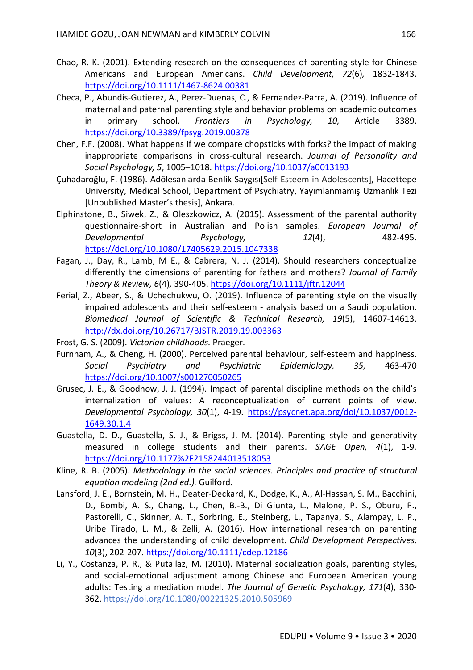- Chao, R. K. (2001). Extending research on the consequences of parenting style for Chinese Americans and European Americans. *Child Development, 72*(6)*,* 1832-1843. https://doi.org/10.1111/1467-8624.00381
- Checa, P., Abundis-Gutierez, A., Perez-Duenas, C., & Fernandez-Parra, A. (2019). Influence of maternal and paternal parenting style and behavior problems on academic outcomes in primary school. *Frontiers in Psychology, 10,* Article 3389. https://doi.org/10.3389/fpsyg.2019.00378
- Chen, F.F. (2008). What happens if we compare chopsticks with forks? the impact of making inappropriate comparisons in cross-cultural research. *Journal of Personality and Social Psychology, 5*, 1005–1018. https://doi.org/10.1037/a0013193
- Çuhadaroğlu, F. (1986). Adölesanlarda Benlik Saygısı[Self-Esteem in Adolescents], Hacettepe University, Medical School, Department of Psychiatry, Yayımlanmamış Uzmanlık Tezi [Unpublished Master's thesis], Ankara.
- Elphinstone, B., Siwek, Z., & Oleszkowicz, A. (2015). Assessment of the parental authority questionnaire-short in Australian and Polish samples. *European Journal of Developmental Psychology, 12*(4), 482-495. https://doi.org/10.1080/17405629.2015.1047338
- Fagan, J., Day, R., Lamb, M E., & Cabrera, N. J. (2014). Should researchers conceptualize differently the dimensions of parenting for fathers and mothers? *Journal of Family Theory & Review, 6*(4)*,* 390-405. https://doi.org/10.1111/jftr.12044
- Ferial, Z., Abeer, S., & Uchechukwu, O. (2019). Influence of parenting style on the visually impaired adolescents and their self-esteem - analysis based on a Saudi population. *Biomedical Journal of Scientific & Technical Research, 19*(5), 14607-14613. http://dx.doi.org/10.26717/BJSTR.2019.19.003363
- Frost, G. S. (2009). *Victorian childhoods.* Praeger.
- Furnham, A., & Cheng, H. (2000). Perceived parental behaviour, self-esteem and happiness. *Social Psychiatry and Psychiatric Epidemiology, 35,* 463-470 https://doi.org/10.1007/s001270050265
- Grusec, J. E., & Goodnow, J. J. (1994). Impact of parental discipline methods on the child's internalization of values: A reconceptualization of current points of view. *Developmental Psychology, 30*(1), 4-19. https://psycnet.apa.org/doi/10.1037/0012- 1649.30.1.4
- Guastella, D. D., Guastella, S. J., & Brigss, J. M. (2014). Parenting style and generativity measured in college students and their parents. *SAGE Open, 4*(1), 1-9. https://doi.org/10.1177%2F2158244013518053
- Kline, R. B. (2005). *Methodology in the social sciences. Principles and practice of structural equation modeling (2nd ed.).* Guilford.
- Lansford, J. E., Bornstein, M. H., Deater-Deckard, K., Dodge, K., A., Al-Hassan, S. M., Bacchini, D., Bombi, A. S., Chang, L., Chen, B.-B., Di Giunta, L., Malone, P. S., Oburu, P., Pastorelli, C., Skinner, A. T., Sorbring, E., Steinberg, L., Tapanya, S., Alampay, L. P., Uribe Tirado, L. M., & Zelli, A. (2016). How international research on parenting advances the understanding of child development. *Child Development Perspectives, 10*(3), 202-207. https://doi.org/10.1111/cdep.12186
- Li, Y., Costanza, P. R., & Putallaz, M. (2010). Maternal socialization goals, parenting styles, and social-emotional adjustment among Chinese and European American young adults: Testing a mediation model. *The Journal of Genetic Psychology, 171*(4), 330- 362. https://doi.org/10.1080/00221325.2010.505969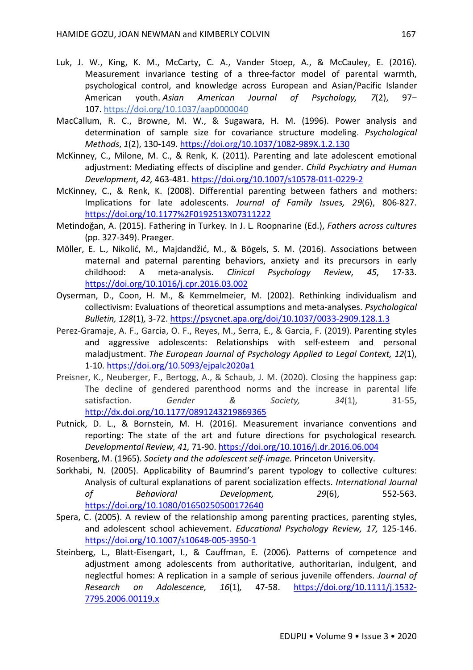- Luk, J. W., King, K. M., McCarty, C. A., Vander Stoep, A., & McCauley, E. (2016). Measurement invariance testing of a three-factor model of parental warmth, psychological control, and knowledge across European and Asian/Pacific Islander American youth. *Asian American Journal of Psychology, 7*(2), 97– 107. https://doi.org/10.1037/aap0000040
- MacCallum, R. C., Browne, M. W., & Sugawara, H. M. (1996). Power analysis and determination of sample size for covariance structure modeling. *Psychological Methods*, *1*(2), 130-149. https://doi.org/10.1037/1082-989X.1.2.130
- McKinney, C., Milone, M. C., & Renk, K. (2011). Parenting and late adolescent emotional adjustment: Mediating effects of discipline and gender. *Child Psychiatry and Human Development, 42,* 463-481. https://doi.org/10.1007/s10578-011-0229-2
- McKinney, C., & Renk, K. (2008). Differential parenting between fathers and mothers: Implications for late adolescents. *Journal of Family Issues, 29*(6), 806-827. https://doi.org/10.1177%2F0192513X07311222
- Metindoğan, A. (2015). Fathering in Turkey. In J. L. Roopnarine (Ed.), *Fathers across cultures*  (pp. 327-349). Praeger.
- Möller, E. L., Nikolić, M., Majdandžić, M., & Bögels, S. M. (2016). Associations between maternal and paternal parenting behaviors, anxiety and its precursors in early childhood: A meta-analysis. *Clinical Psychology Review, 45*, 17-33. https://doi.org/10.1016/j.cpr.2016.03.002
- Oyserman, D., Coon, H. M., & Kemmelmeier, M. (2002). Rethinking individualism and collectivism: Evaluations of theoretical assumptions and meta-analyses. *Psychological Bulletin, 128*(1)*,* 3-72. https://psycnet.apa.org/doi/10.1037/0033-2909.128.1.3
- Perez-Gramaje, A. F., Garcia, O. F., Reyes, M., Serra, E., & Garcia, F. (2019). Parenting styles and aggressive adolescents: Relationships with self-esteem and personal maladjustment. *The European Journal of Psychology Applied to Legal Context, 12*(1), 1-10. https://doi.org/10.5093/ejpalc2020a1
- Preisner, K., Neuberger, F., Bertogg, A., & Schaub, J. M. (2020). Closing the happiness gap: The decline of gendered parenthood norms and the increase in parental life satisfaction. Gender & Society, 34(1), 31-55, http://dx.doi.org/10.1177/0891243219869365
- Putnick, D. L., & Bornstein, M. H. (2016). Measurement invariance conventions and reporting: The state of the art and future directions for psychological research*. Developmental Review, 41,* 71-90. https://doi.org/10.1016/j.dr.2016.06.004
- Rosenberg, M. (1965). *Society and the adolescent self-image.* Princeton University.
- Sorkhabi, N. (2005). Applicability of Baumrind's parent typology to collective cultures: Analysis of cultural explanations of parent socialization effects. *International Journal of Behavioral Development, 29*(6), 552-563. https://doi.org/10.1080/01650250500172640
- Spera, C. (2005). A review of the relationship among parenting practices, parenting styles, and adolescent school achievement. *Educational Psychology Review, 17,* 125-146. https://doi.org/10.1007/s10648-005-3950-1
- Steinberg, L., Blatt-Eisengart, I., & Cauffman, E. (2006). Patterns of competence and adjustment among adolescents from authoritative, authoritarian, indulgent, and neglectful homes: A replication in a sample of serious juvenile offenders. *Journal of Research on Adolescence, 16*(1)*,* 47-58. https://doi.org/10.1111/j.1532- 7795.2006.00119.x